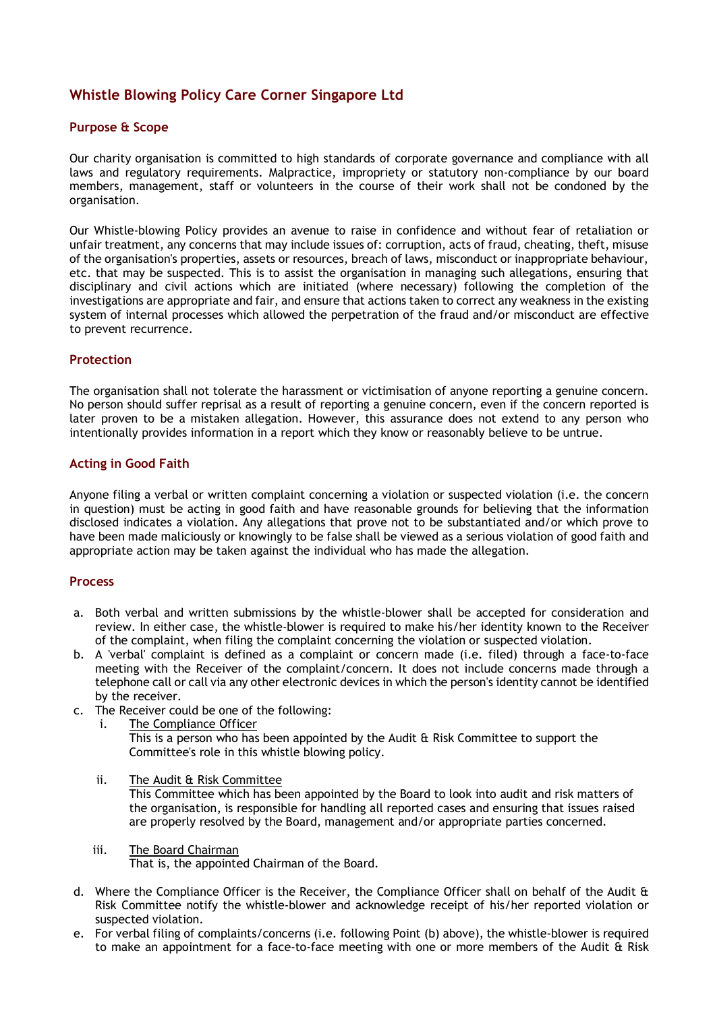# **Whistle Blowing Policy Care Corner Singapore Ltd**

## **Purpose & Scope**

Our charity organisation is committed to high standards of corporate governance and compliance with all laws and regulatory requirements. Malpractice, impropriety or statutory non-compliance by our board members, management, staff or volunteers in the course of their work shall not be condoned by the organisation.

Our Whistle-blowing Policy provides an avenue to raise in confidence and without fear of retaliation or unfair treatment, any concerns that may include issues of: corruption, acts of fraud, cheating, theft, misuse of the organisation's properties, assets or resources, breach of laws, misconduct or inappropriate behaviour, etc. that may be suspected. This is to assist the organisation in managing such allegations, ensuring that disciplinary and civil actions which are initiated (where necessary) following the completion of the investigations are appropriate and fair, and ensure that actions taken to correct any weakness in the existing system of internal processes which allowed the perpetration of the fraud and/or misconduct are effective to prevent recurrence.

#### **Protection**

The organisation shall not tolerate the harassment or victimisation of anyone reporting a genuine concern. No person should suffer reprisal as a result of reporting a genuine concern, even if the concern reported is later proven to be a mistaken allegation. However, this assurance does not extend to any person who intentionally provides information in a report which they know or reasonably believe to be untrue.

## **Acting in Good Faith**

Anyone filing a verbal or written complaint concerning a violation or suspected violation (i.e. the concern in question) must be acting in good faith and have reasonable grounds for believing that the information disclosed indicates a violation. Any allegations that prove not to be substantiated and/or which prove to have been made maliciously or knowingly to be false shall be viewed as a serious violation of good faith and appropriate action may be taken against the individual who has made the allegation.

## **Process**

- a. Both verbal and written submissions by the whistle-blower shall be accepted for consideration and review. In either case, the whistle-blower is required to make his/her identity known to the Receiver of the complaint, when filing the complaint concerning the violation or suspected violation.
- b. A 'verbal' complaint is defined as a complaint or concern made (i.e. filed) through a face-to-face meeting with the Receiver of the complaint/concern. It does not include concerns made through a telephone call or call via any other electronic devices in which the person's identity cannot be identified by the receiver.
- c. The Receiver could be one of the following:
	- i. The Compliance Officer

This is a person who has been appointed by the Audit  $\alpha$  Risk Committee to support the Committee's role in this whistle blowing policy.

- ii. The Audit & Risk Committee This Committee which has been appointed by the Board to look into audit and risk matters of the organisation, is responsible for handling all reported cases and ensuring that issues raised are properly resolved by the Board, management and/or appropriate parties concerned.
- iii. The Board Chairman That is, the appointed Chairman of the Board.
- d. Where the Compliance Officer is the Receiver, the Compliance Officer shall on behalf of the Audit & Risk Committee notify the whistle-blower and acknowledge receipt of his/her reported violation or suspected violation.
- e. For verbal filing of complaints/concerns (i.e. following Point (b) above), the whistle-blower is required to make an appointment for a face-to-face meeting with one or more members of the Audit & Risk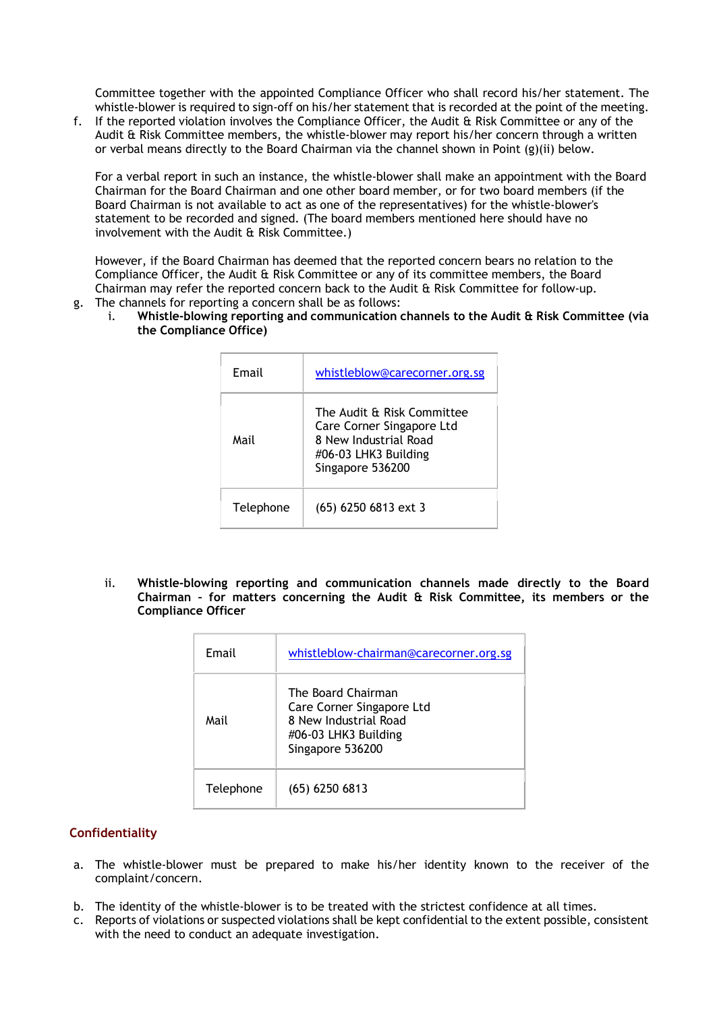Committee together with the appointed Compliance Officer who shall record his/her statement. The whistle-blower is required to sign-off on his/her statement that is recorded at the point of the meeting.

f. If the reported violation involves the Compliance Officer, the Audit & Risk Committee or any of the Audit & Risk Committee members, the whistle-blower may report his/her concern through a written or verbal means directly to the Board Chairman via the channel shown in Point (g)(ii) below.

For a verbal report in such an instance, the whistle-blower shall make an appointment with the Board Chairman for the Board Chairman and one other board member, or for two board members (if the Board Chairman is not available to act as one of the representatives) for the whistle-blower's statement to be recorded and signed. (The board members mentioned here should have no involvement with the Audit & Risk Committee.)

However, if the Board Chairman has deemed that the reported concern bears no relation to the Compliance Officer, the Audit & Risk Committee or any of its committee members, the Board Chairman may refer the reported concern back to the Audit & Risk Committee for follow-up. g. The channels for reporting a concern shall be as follows:

i. **Whistle-blowing reporting and communication channels to the Audit & Risk Committee (via the Compliance Office)**

| Email     | whistleblow@carecorner.org.sg                                                                                                |
|-----------|------------------------------------------------------------------------------------------------------------------------------|
| Mail      | The Audit & Risk Committee<br>Care Corner Singapore Ltd<br>8 New Industrial Road<br>#06-03 LHK3 Building<br>Singapore 536200 |
| Telephone | $(65)$ 6250 6813 ext 3                                                                                                       |

ii. **Whistle-blowing reporting and communication channels made directly to the Board Chairman – for matters concerning the Audit & Risk Committee, its members or the Compliance Officer**

| Email     | whistleblow-chairman@carecorner.org.sg                                                                               |
|-----------|----------------------------------------------------------------------------------------------------------------------|
| Mail      | The Board Chairman<br>Care Corner Singapore Ltd<br>8 New Industrial Road<br>#06-03 LHK3 Building<br>Singapore 536200 |
| Telephone | $(65)$ 6250 6813                                                                                                     |

## **Confidentiality**

- a. The whistle-blower must be prepared to make his/her identity known to the receiver of the complaint/concern.
- b. The identity of the whistle-blower is to be treated with the strictest confidence at all times.
- c. Reports of violations or suspected violations shall be kept confidential to the extent possible, consistent with the need to conduct an adequate investigation.